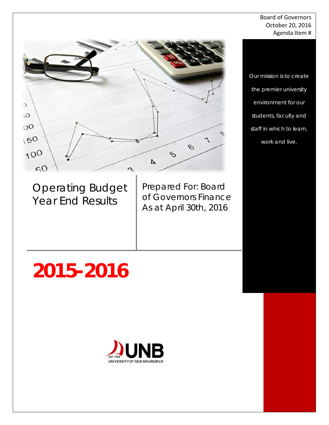#### Board of Governors October 20, 2016 Agenda Item #



Operating Budget Year End Results

Prepared For: Board of Governors Finance As at April 30th, 2016

*the premier university environment for our students, faculty and staff in which to learn, work and live.*

*Our mission is to create* 

# **2015-2016**

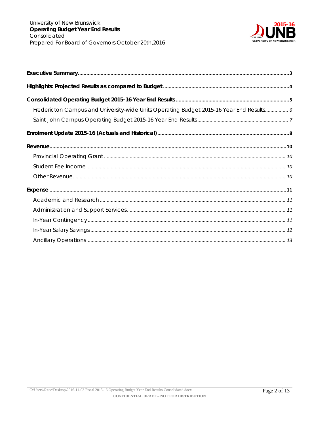

| Fredericton Campus and University-wide Units Operating Budget 2015-16 Year End Results 6 |
|------------------------------------------------------------------------------------------|
|                                                                                          |
|                                                                                          |
|                                                                                          |
|                                                                                          |
|                                                                                          |
|                                                                                          |
|                                                                                          |
|                                                                                          |
|                                                                                          |
|                                                                                          |
|                                                                                          |
|                                                                                          |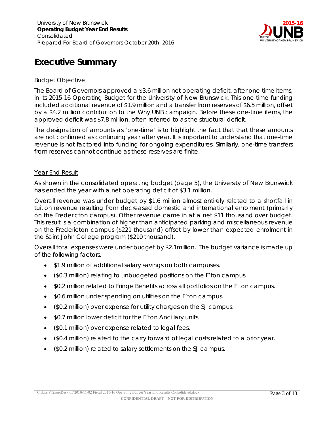

# <span id="page-2-0"></span>**Executive Summary**

#### Budget Objective

The Board of Governors approved a \$3.6 million net operating deficit, after one-time items, in its 2015-16 Operating Budget for the University of New Brunswick. This one-time funding included additional revenue of \$1.9 million and a transfer from reserves of \$6.5 million, offset by a \$4.2 million contribution to the Why UNB campaign. Before these one-time items, the approved deficit was \$7.8 million, often referred to as the structural deficit.

The designation of amounts as 'one-time' is to highlight the fact that that these amounts are not confirmed as continuing year after year. It is important to understand that one-time revenue is not factored into funding for ongoing expenditures. Similarly, one-time transfers from reserves cannot continue as these reserves are finite.

#### Year End Result

As shown in the consolidated operating budget (page 5), the University of New Brunswick has ended the year with a net operating deficit of \$3.1 million.

Overall revenue was under budget by \$1.6 million almost entirely related to a shortfall in tuition revenue resulting from decreased domestic and international enrolment (primarily on the Fredericton campus). Other revenue came in at a net \$11 thousand over budget. This result is a combination of higher than anticipated parking and miscellaneous revenue on the Fredericton campus (\$221 thousand) offset by lower than expected enrolment in the Saint John College program (\$210 thousand).

Overall total expenses were under budget by \$2.1million. The budget variance is made up of the following factors.

- \$1.9 million of additional salary savings on both campuses.
- (\$0.3 million) relating to unbudgeted positions on the F'ton campus.
- \$0.2 million related to Fringe Benefits across all portfolios on the F'ton campus.
- \$0.6 million under spending on utilities on the F'ton campus.
- (\$0.2 million) over expense for utility charges on the SJ campus.
- \$0.7 million lower deficit for the F'ton Ancillary units.
- (\$0.1 million) over expense related to legal fees.
- (\$0.4 million) related to the carry forward of legal costs related to a prior year.
- (\$0.2 million) related to salary settlements on the SJ campus.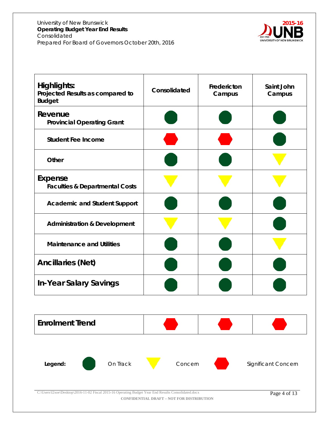

<span id="page-3-0"></span>

| <b>Highlights:</b><br>Projected Results as compared to<br><b>Budget</b>                                                                                                  | Consolidated | Fredericton<br>Campus | Saint John<br>Campus |  |  |  |  |  |  |
|--------------------------------------------------------------------------------------------------------------------------------------------------------------------------|--------------|-----------------------|----------------------|--|--|--|--|--|--|
| Revenue<br><b>Provincial Operating Grant</b>                                                                                                                             |              |                       |                      |  |  |  |  |  |  |
| <b>Student Fee Income</b>                                                                                                                                                |              |                       |                      |  |  |  |  |  |  |
| Other                                                                                                                                                                    |              |                       |                      |  |  |  |  |  |  |
| Expense<br><b>Faculties &amp; Departmental Costs</b>                                                                                                                     |              |                       |                      |  |  |  |  |  |  |
| <b>Academic and Student Support</b>                                                                                                                                      |              |                       |                      |  |  |  |  |  |  |
| <b>Administration &amp; Development</b>                                                                                                                                  |              |                       |                      |  |  |  |  |  |  |
| <b>Maintenance and Utilities</b>                                                                                                                                         |              |                       |                      |  |  |  |  |  |  |
| <b>Ancillaries (Net)</b>                                                                                                                                                 |              |                       |                      |  |  |  |  |  |  |
| <b>In-Year Salary Savings</b>                                                                                                                                            |              |                       |                      |  |  |  |  |  |  |
|                                                                                                                                                                          |              |                       |                      |  |  |  |  |  |  |
| <b>Enrolment Trend</b>                                                                                                                                                   |              |                       |                      |  |  |  |  |  |  |
|                                                                                                                                                                          |              |                       |                      |  |  |  |  |  |  |
| On Track<br>Legend:                                                                                                                                                      | Concern      |                       | Significant Concern  |  |  |  |  |  |  |
| C:\Users\l2xoe\Desktop\2016-11-02 Fiscal 2015-16 Operating Budget Year End Results Consolidated.docx<br>Page 4 of 13<br><b>CONFIDENTIAL DRAFT - NOT FOR DISTRIBUTION</b> |              |                       |                      |  |  |  |  |  |  |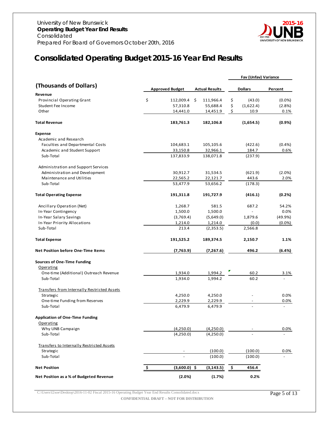

# <span id="page-4-0"></span>**Consolidated Operating Budget 2015-16 Year End Results**

|                                                        |           |                        |                       | Fav (Unfav) Variance     |           |
|--------------------------------------------------------|-----------|------------------------|-----------------------|--------------------------|-----------|
| (Thousands of Dollars)                                 |           | <b>Approved Budget</b> | <b>Actual Results</b> | <b>Dollars</b>           | Percent   |
| Revenue                                                |           |                        |                       |                          |           |
| Provincial Operating Grant                             | \$        | 112,009.4              | \$<br>111,966.4       | \$<br>(43.0)             | (0.0%     |
| Student Fee Income                                     |           | 57,310.8               | 55,688.4              | \$<br>(1,622.4)          | (2.8%)    |
| Other                                                  |           | 14,441.0               | 14,451.9              | \$<br>10.9               | 0.1%      |
| <b>Total Revenue</b>                                   |           | 183,761.3              | 182,106.8             | (1,654.5)                | $(0.9\%)$ |
| Expense                                                |           |                        |                       |                          |           |
| Academic and Research                                  |           |                        |                       |                          |           |
| Faculties and Departmental Costs                       |           | 104,683.1              | 105,105.6             | (422.6)                  | (0.4% )   |
| Academic and Student Support                           |           | 33,150.8               | 32,966.1              | 184.7                    | 0.6%      |
| Sub-Total                                              |           | 137,833.9              | 138,071.8             | (237.9)                  |           |
| Administration and Support Services                    |           |                        |                       |                          |           |
| Administration and Development                         |           | 30,912.7               | 31,534.5              | (621.9)                  | (2.0%)    |
| Maintenance and Utilities                              |           | 22,565.2               | 22,121.7              | 443.6                    | 2.0%      |
| Sub-Total                                              |           | 53,477.9               | 53,656.2              | (178.3)                  |           |
| <b>Total Operating Expense</b>                         |           | 191,311.8              | 191,727.9             | (416.1)                  | (0.2%)    |
| Ancillary Operation (Net)                              |           | 1,268.7                | 581.5                 | 687.2                    | 54.2%     |
| In-Year Contingency                                    |           | 1,500.0                | 1,500.0               | $\mathcal{L}$            | 0.0%      |
| In-Year Salary Savings                                 |           | (3,769.4)              | (5,649.0)             | 1,879.6                  | (49.9%    |
| In-Year Priority Allocations                           |           | 1,214.0                | 1,214.0               | (0.0)                    | (0.0%     |
| Sub-Total                                              |           | 213.4                  | (2,353.5)             | 2,566.8                  |           |
| <b>Total Expense</b>                                   |           | 191,525.2              | 189,374.5             | 2,150.7                  | 1.1%      |
| <b>Net Position before One-Time Items</b>              |           | (7, 763.9)             | (7,267.6)             | 496.2                    | (6.4%)    |
| <b>Sources of One-Time Funding</b>                     |           |                        |                       |                          |           |
| Operating                                              |           |                        |                       |                          |           |
| One-time (Additional) Outreach Revenue                 |           | 1,934.0                | 1,994.2               | 60.2                     | 3.1%      |
| Sub-Total                                              |           | 1,934.0                | 1,994.2               | 60.2                     |           |
| Transfers from Internally Restricted Assets            |           |                        |                       |                          |           |
| Strategic                                              |           | 4,250.0                | 4,250.0               |                          | 0.0%      |
| One-time Funding from Reserves<br>Sub-Total            |           | 2,229.9<br>6,479.9     | 2,229.9<br>6,479.9    | $\overline{\phantom{a}}$ | 0.0%      |
|                                                        |           |                        |                       |                          |           |
| <b>Application of One-Time Funding</b>                 |           |                        |                       |                          |           |
| Operating<br>Why UNB Campaign                          |           | (4,250.0)              | (4,250.0)             |                          | 0.0%      |
| Sub-Total                                              |           | (4,250.0)              | (4,250.0)             |                          |           |
|                                                        |           |                        |                       |                          |           |
| Transfers to Internally Restricted Assets<br>Strategic |           |                        | (100.0)               | (100.0)                  | 0.0%      |
| Sub-Total                                              |           |                        | (100.0)               | (100.0)                  |           |
|                                                        |           |                        |                       |                          |           |
| <b>Net Position</b>                                    | <u>\$</u> | $(3,600.0)$ \$         | (3, 143.5)            | \$<br>456.4              |           |
| Net Position as a % of Budgeted Revenue                |           | (2.0%)                 | (1.7%)                | 0.2%                     |           |

C:\Users\l2xoe\Desktop\2016-11-02 Fiscal 2015-16 Operating Budget Year End Results Consolidated.docx Page 5 of 13

**CONFIDENTIAL DRAFT – NOT FOR DISTRIBUTION**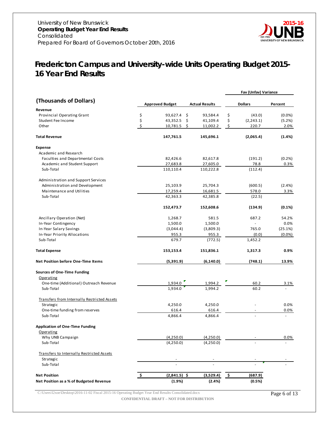

# <span id="page-5-0"></span>*Fredericton Campus and University-wide Units Operating Budget 2015- 16 Year End Results*

|                                                    |    |                        |                       |               | Fav (Unfav) Variance |           |
|----------------------------------------------------|----|------------------------|-----------------------|---------------|----------------------|-----------|
| (Thousands of Dollars)                             |    | <b>Approved Budget</b> | <b>Actual Results</b> |               | <b>Dollars</b>       | Percent   |
| Revenue                                            |    |                        |                       |               |                      |           |
| Provincial Operating Grant                         | \$ | 93,627.4 \$            | 93,584.4              | \$            | (43.0)               | (0.0%     |
| Student Fee Income                                 | \$ | 43,352.5<br>- \$       | 41,109.4              | \$            | (2, 243.1)           | (5.2%)    |
| Other                                              | \$ | 10,781.5               | \$<br>11,002.2        | \$            | 220.7                | 2.0%      |
| <b>Total Revenue</b>                               |    | 147,761.5              | 145,696.1             |               | (2,065.4)            | (1.4%)    |
| <b>Expense</b>                                     |    |                        |                       |               |                      |           |
| Academic and Research                              |    |                        |                       |               |                      |           |
| Faculties and Departmental Costs                   |    | 82,426.6               | 82,617.8              |               | (191.2)              | (0.2%     |
| Academic and Student Support                       |    | 27,683.8               | 27,605.0              |               | 78.8                 | 0.3%      |
| Sub-Total                                          |    | 110,110.4              | 110,222.8             |               | (112.4)              |           |
| Administration and Support Services                |    |                        |                       |               |                      |           |
| Administration and Development                     |    | 25,103.9               | 25,704.3              |               | (600.5)              | (2.4% )   |
| Maintenance and Utilities                          |    | 17,259.4               | 16,681.5              |               | 578.0                | 3.3%      |
| Sub-Total                                          |    | 42,363.3               | 42,385.8              |               | (22.5)               |           |
|                                                    |    | 152,473.7              | 152,608.6             |               | (134.9)              | (0.1%)    |
| Ancillary Operation (Net)                          |    | 1,268.7                | 581.5                 |               | 687.2                | 54.2%     |
| In-Year Contingency                                |    | 1,500.0                | 1,500.0               |               |                      | 0.0%      |
| In-Year Salary Savings                             |    | (3,044.4)              | (3,809.3)             |               | 765.0                | (25.1%)   |
| In-Year Priority Allocations                       |    | 955.3                  | 955.3                 |               | (0.0)                | $(0.0\%)$ |
| Sub-Total                                          |    | 679.7                  | (772.5)               |               | 1,452.2              |           |
| <b>Total Expense</b>                               |    | 153,153.4              | 151,836.1             |               | 1,317.3              | 0.9%      |
| <b>Net Position before One-Time Items</b>          |    | (5,391.9)              | (6, 140.0)            |               | (748.1)              | 13.9%     |
| <b>Sources of One-Time Funding</b>                 |    |                        |                       |               |                      |           |
| <b>Operating</b>                                   |    |                        |                       |               |                      |           |
| One-time (Additional) Outreach Revenue             |    | 1,934.0                | 1,994.2               |               | 60.2                 | 3.1%      |
| Sub-Total                                          |    | 1,934.0                | 1,994.2               |               | 60.2                 |           |
| <b>Transfers from Internally Restricted Assets</b> |    |                        |                       |               |                      |           |
| Strategic                                          |    | 4,250.0                | 4,250.0               |               | $\overline{a}$       | 0.0%      |
| One-time funding from reserves                     |    | 616.4                  | 616.4                 |               |                      | 0.0%      |
| Sub-Total                                          |    | 4,866.4                | 4,866.4               |               |                      |           |
| <b>Application of One-Time Funding</b>             |    |                        |                       |               |                      |           |
| <u>Operating</u>                                   |    |                        |                       |               |                      |           |
| Why UNB Campaign                                   |    | (4,250.0)              | (4,250.0)             |               |                      | 0.0%      |
| Sub-Total                                          |    | (4,250.0)              | (4,250.0)             |               |                      |           |
| Transfers to Internally Restricted Assets          |    |                        |                       |               |                      |           |
| Strategic                                          |    |                        |                       |               |                      |           |
| Sub-Total                                          |    |                        |                       |               |                      |           |
| <b>Net Position</b>                                | s  | $(2,841.5)$ \$         | (3,529.4)             | $\frac{1}{2}$ | (687.9)              |           |
| Net Position as a % of Budgeted Revenue            |    | (1.9%)                 | (2.4%)                |               | (0.5%)               |           |
|                                                    |    |                        |                       |               |                      |           |

C:\Users\l2xoe\Desktop\2016-11-02 Fiscal 2015-16 Operating Budget Year End Results Consolidated.docx Page 6 of 13 **CONFIDENTIAL DRAFT – NOT FOR DISTRIBUTION**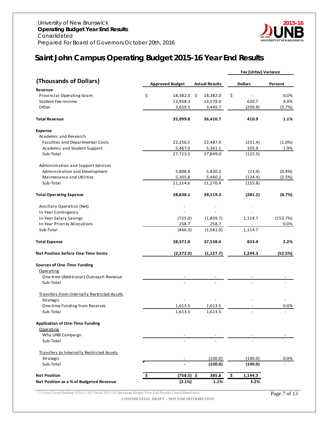

## <span id="page-6-0"></span>*Saint John Campus Operating Budget 2015-16 Year End Results*

| (Thousands of Dollars)<br><b>Dollars</b><br><b>Approved Budget</b><br><b>Actual Results</b><br>Percent<br>Revenue<br>\$<br>\$<br>Provincial Operating Grant<br>18,382.0 \$<br>0.0%<br>18,382.0<br>Student Fee Income<br>13,958.3<br>14,579.0<br>620.7<br>4.4%<br>3,659.5<br>Other<br>3,449.7<br>(209.8)<br>(5.7%)<br><b>Total Revenue</b><br>35,999.8<br>36,410.7<br>410.9<br>1.1%<br><b>Expense</b><br>Academic and Research<br>(1.0%)<br>Faculties and Departmental Costs<br>22,256.5<br>22,487.9<br>(231.4)<br>105.9<br>Academic and Student Support<br>5,467.0<br>5,361.1<br>1.9%<br>Sub-Total<br>27,723.5<br>27,849.0<br>(125.5)<br>Administration and Support Services<br>Administration and Development<br>5,808.8<br>(0.4% )<br>5,830.2<br>(21.4)<br>Maintenance and Utilities<br>(134.4)<br>5,305.8<br>5,440.2<br>(2.5%)<br>11,114.6<br>11,270.4<br>Sub-Total<br>(155.8)<br><b>Total Operating Expense</b><br>38,838.1<br>39,119.3<br>(281.2)<br>(0.7%)<br>Ancillary Operation (Net)<br>In-Year Contingency<br>In-Year Salary Savings<br>(153.7%)<br>(725.0)<br>(1,839.7)<br>1,114.7<br>In-Year Priority Allocations<br>258.7<br>258.7<br>0.0%<br>(1,581.0)<br>Sub-Total<br>(466.3)<br>1,114.7<br><b>Total Expense</b><br>38,371.8<br>37,538.4<br>833.4<br>2.2%<br><b>Net Position before One-Time Items</b><br>(2,372.0)<br>(1, 127.7)<br>1,244.3<br>(52.5%)<br><b>Sources of One-Time Funding</b><br>Operating<br>One-time (Additional) Outreach Revenue<br>Sub-Total<br>Transfers from Internally Restricted Assets<br>Strategic<br>0.0%<br>One-time Funding from Reserves<br>1,613.5<br>1,613.5<br>1,613.5<br>1,613.5<br>Sub-Total<br><b>Application of One-Time Funding</b><br>Operating<br>Why UNB Campaign<br>Sub-Total<br>Transfers to Internally Restricted Assets<br>(100.0)<br>Strategic<br>(100.0)<br>0.0%<br>Sub-Total<br>(100.0)<br>(100.0)<br>$(758.5)$ \$<br>385.8<br>-\$<br><b>Net Position</b><br>1,144.3<br>Net Position as a % of Budgeted Revenue<br>(2.1%)<br>1.1%<br>3.2% |  |  | Fav (Unfav) Variance |  |
|-----------------------------------------------------------------------------------------------------------------------------------------------------------------------------------------------------------------------------------------------------------------------------------------------------------------------------------------------------------------------------------------------------------------------------------------------------------------------------------------------------------------------------------------------------------------------------------------------------------------------------------------------------------------------------------------------------------------------------------------------------------------------------------------------------------------------------------------------------------------------------------------------------------------------------------------------------------------------------------------------------------------------------------------------------------------------------------------------------------------------------------------------------------------------------------------------------------------------------------------------------------------------------------------------------------------------------------------------------------------------------------------------------------------------------------------------------------------------------------------------------------------------------------------------------------------------------------------------------------------------------------------------------------------------------------------------------------------------------------------------------------------------------------------------------------------------------------------------------------------------------------------------------------------------------------------------------------------------------------------------------------|--|--|----------------------|--|
|                                                                                                                                                                                                                                                                                                                                                                                                                                                                                                                                                                                                                                                                                                                                                                                                                                                                                                                                                                                                                                                                                                                                                                                                                                                                                                                                                                                                                                                                                                                                                                                                                                                                                                                                                                                                                                                                                                                                                                                                           |  |  |                      |  |
|                                                                                                                                                                                                                                                                                                                                                                                                                                                                                                                                                                                                                                                                                                                                                                                                                                                                                                                                                                                                                                                                                                                                                                                                                                                                                                                                                                                                                                                                                                                                                                                                                                                                                                                                                                                                                                                                                                                                                                                                           |  |  |                      |  |
|                                                                                                                                                                                                                                                                                                                                                                                                                                                                                                                                                                                                                                                                                                                                                                                                                                                                                                                                                                                                                                                                                                                                                                                                                                                                                                                                                                                                                                                                                                                                                                                                                                                                                                                                                                                                                                                                                                                                                                                                           |  |  |                      |  |
|                                                                                                                                                                                                                                                                                                                                                                                                                                                                                                                                                                                                                                                                                                                                                                                                                                                                                                                                                                                                                                                                                                                                                                                                                                                                                                                                                                                                                                                                                                                                                                                                                                                                                                                                                                                                                                                                                                                                                                                                           |  |  |                      |  |
|                                                                                                                                                                                                                                                                                                                                                                                                                                                                                                                                                                                                                                                                                                                                                                                                                                                                                                                                                                                                                                                                                                                                                                                                                                                                                                                                                                                                                                                                                                                                                                                                                                                                                                                                                                                                                                                                                                                                                                                                           |  |  |                      |  |
|                                                                                                                                                                                                                                                                                                                                                                                                                                                                                                                                                                                                                                                                                                                                                                                                                                                                                                                                                                                                                                                                                                                                                                                                                                                                                                                                                                                                                                                                                                                                                                                                                                                                                                                                                                                                                                                                                                                                                                                                           |  |  |                      |  |
|                                                                                                                                                                                                                                                                                                                                                                                                                                                                                                                                                                                                                                                                                                                                                                                                                                                                                                                                                                                                                                                                                                                                                                                                                                                                                                                                                                                                                                                                                                                                                                                                                                                                                                                                                                                                                                                                                                                                                                                                           |  |  |                      |  |
|                                                                                                                                                                                                                                                                                                                                                                                                                                                                                                                                                                                                                                                                                                                                                                                                                                                                                                                                                                                                                                                                                                                                                                                                                                                                                                                                                                                                                                                                                                                                                                                                                                                                                                                                                                                                                                                                                                                                                                                                           |  |  |                      |  |
|                                                                                                                                                                                                                                                                                                                                                                                                                                                                                                                                                                                                                                                                                                                                                                                                                                                                                                                                                                                                                                                                                                                                                                                                                                                                                                                                                                                                                                                                                                                                                                                                                                                                                                                                                                                                                                                                                                                                                                                                           |  |  |                      |  |
|                                                                                                                                                                                                                                                                                                                                                                                                                                                                                                                                                                                                                                                                                                                                                                                                                                                                                                                                                                                                                                                                                                                                                                                                                                                                                                                                                                                                                                                                                                                                                                                                                                                                                                                                                                                                                                                                                                                                                                                                           |  |  |                      |  |
|                                                                                                                                                                                                                                                                                                                                                                                                                                                                                                                                                                                                                                                                                                                                                                                                                                                                                                                                                                                                                                                                                                                                                                                                                                                                                                                                                                                                                                                                                                                                                                                                                                                                                                                                                                                                                                                                                                                                                                                                           |  |  |                      |  |
|                                                                                                                                                                                                                                                                                                                                                                                                                                                                                                                                                                                                                                                                                                                                                                                                                                                                                                                                                                                                                                                                                                                                                                                                                                                                                                                                                                                                                                                                                                                                                                                                                                                                                                                                                                                                                                                                                                                                                                                                           |  |  |                      |  |
|                                                                                                                                                                                                                                                                                                                                                                                                                                                                                                                                                                                                                                                                                                                                                                                                                                                                                                                                                                                                                                                                                                                                                                                                                                                                                                                                                                                                                                                                                                                                                                                                                                                                                                                                                                                                                                                                                                                                                                                                           |  |  |                      |  |
|                                                                                                                                                                                                                                                                                                                                                                                                                                                                                                                                                                                                                                                                                                                                                                                                                                                                                                                                                                                                                                                                                                                                                                                                                                                                                                                                                                                                                                                                                                                                                                                                                                                                                                                                                                                                                                                                                                                                                                                                           |  |  |                      |  |
|                                                                                                                                                                                                                                                                                                                                                                                                                                                                                                                                                                                                                                                                                                                                                                                                                                                                                                                                                                                                                                                                                                                                                                                                                                                                                                                                                                                                                                                                                                                                                                                                                                                                                                                                                                                                                                                                                                                                                                                                           |  |  |                      |  |
|                                                                                                                                                                                                                                                                                                                                                                                                                                                                                                                                                                                                                                                                                                                                                                                                                                                                                                                                                                                                                                                                                                                                                                                                                                                                                                                                                                                                                                                                                                                                                                                                                                                                                                                                                                                                                                                                                                                                                                                                           |  |  |                      |  |
|                                                                                                                                                                                                                                                                                                                                                                                                                                                                                                                                                                                                                                                                                                                                                                                                                                                                                                                                                                                                                                                                                                                                                                                                                                                                                                                                                                                                                                                                                                                                                                                                                                                                                                                                                                                                                                                                                                                                                                                                           |  |  |                      |  |
|                                                                                                                                                                                                                                                                                                                                                                                                                                                                                                                                                                                                                                                                                                                                                                                                                                                                                                                                                                                                                                                                                                                                                                                                                                                                                                                                                                                                                                                                                                                                                                                                                                                                                                                                                                                                                                                                                                                                                                                                           |  |  |                      |  |
|                                                                                                                                                                                                                                                                                                                                                                                                                                                                                                                                                                                                                                                                                                                                                                                                                                                                                                                                                                                                                                                                                                                                                                                                                                                                                                                                                                                                                                                                                                                                                                                                                                                                                                                                                                                                                                                                                                                                                                                                           |  |  |                      |  |
|                                                                                                                                                                                                                                                                                                                                                                                                                                                                                                                                                                                                                                                                                                                                                                                                                                                                                                                                                                                                                                                                                                                                                                                                                                                                                                                                                                                                                                                                                                                                                                                                                                                                                                                                                                                                                                                                                                                                                                                                           |  |  |                      |  |
|                                                                                                                                                                                                                                                                                                                                                                                                                                                                                                                                                                                                                                                                                                                                                                                                                                                                                                                                                                                                                                                                                                                                                                                                                                                                                                                                                                                                                                                                                                                                                                                                                                                                                                                                                                                                                                                                                                                                                                                                           |  |  |                      |  |
|                                                                                                                                                                                                                                                                                                                                                                                                                                                                                                                                                                                                                                                                                                                                                                                                                                                                                                                                                                                                                                                                                                                                                                                                                                                                                                                                                                                                                                                                                                                                                                                                                                                                                                                                                                                                                                                                                                                                                                                                           |  |  |                      |  |
|                                                                                                                                                                                                                                                                                                                                                                                                                                                                                                                                                                                                                                                                                                                                                                                                                                                                                                                                                                                                                                                                                                                                                                                                                                                                                                                                                                                                                                                                                                                                                                                                                                                                                                                                                                                                                                                                                                                                                                                                           |  |  |                      |  |
|                                                                                                                                                                                                                                                                                                                                                                                                                                                                                                                                                                                                                                                                                                                                                                                                                                                                                                                                                                                                                                                                                                                                                                                                                                                                                                                                                                                                                                                                                                                                                                                                                                                                                                                                                                                                                                                                                                                                                                                                           |  |  |                      |  |
|                                                                                                                                                                                                                                                                                                                                                                                                                                                                                                                                                                                                                                                                                                                                                                                                                                                                                                                                                                                                                                                                                                                                                                                                                                                                                                                                                                                                                                                                                                                                                                                                                                                                                                                                                                                                                                                                                                                                                                                                           |  |  |                      |  |
|                                                                                                                                                                                                                                                                                                                                                                                                                                                                                                                                                                                                                                                                                                                                                                                                                                                                                                                                                                                                                                                                                                                                                                                                                                                                                                                                                                                                                                                                                                                                                                                                                                                                                                                                                                                                                                                                                                                                                                                                           |  |  |                      |  |
|                                                                                                                                                                                                                                                                                                                                                                                                                                                                                                                                                                                                                                                                                                                                                                                                                                                                                                                                                                                                                                                                                                                                                                                                                                                                                                                                                                                                                                                                                                                                                                                                                                                                                                                                                                                                                                                                                                                                                                                                           |  |  |                      |  |
|                                                                                                                                                                                                                                                                                                                                                                                                                                                                                                                                                                                                                                                                                                                                                                                                                                                                                                                                                                                                                                                                                                                                                                                                                                                                                                                                                                                                                                                                                                                                                                                                                                                                                                                                                                                                                                                                                                                                                                                                           |  |  |                      |  |
|                                                                                                                                                                                                                                                                                                                                                                                                                                                                                                                                                                                                                                                                                                                                                                                                                                                                                                                                                                                                                                                                                                                                                                                                                                                                                                                                                                                                                                                                                                                                                                                                                                                                                                                                                                                                                                                                                                                                                                                                           |  |  |                      |  |
|                                                                                                                                                                                                                                                                                                                                                                                                                                                                                                                                                                                                                                                                                                                                                                                                                                                                                                                                                                                                                                                                                                                                                                                                                                                                                                                                                                                                                                                                                                                                                                                                                                                                                                                                                                                                                                                                                                                                                                                                           |  |  |                      |  |
|                                                                                                                                                                                                                                                                                                                                                                                                                                                                                                                                                                                                                                                                                                                                                                                                                                                                                                                                                                                                                                                                                                                                                                                                                                                                                                                                                                                                                                                                                                                                                                                                                                                                                                                                                                                                                                                                                                                                                                                                           |  |  |                      |  |
|                                                                                                                                                                                                                                                                                                                                                                                                                                                                                                                                                                                                                                                                                                                                                                                                                                                                                                                                                                                                                                                                                                                                                                                                                                                                                                                                                                                                                                                                                                                                                                                                                                                                                                                                                                                                                                                                                                                                                                                                           |  |  |                      |  |
|                                                                                                                                                                                                                                                                                                                                                                                                                                                                                                                                                                                                                                                                                                                                                                                                                                                                                                                                                                                                                                                                                                                                                                                                                                                                                                                                                                                                                                                                                                                                                                                                                                                                                                                                                                                                                                                                                                                                                                                                           |  |  |                      |  |
|                                                                                                                                                                                                                                                                                                                                                                                                                                                                                                                                                                                                                                                                                                                                                                                                                                                                                                                                                                                                                                                                                                                                                                                                                                                                                                                                                                                                                                                                                                                                                                                                                                                                                                                                                                                                                                                                                                                                                                                                           |  |  |                      |  |
|                                                                                                                                                                                                                                                                                                                                                                                                                                                                                                                                                                                                                                                                                                                                                                                                                                                                                                                                                                                                                                                                                                                                                                                                                                                                                                                                                                                                                                                                                                                                                                                                                                                                                                                                                                                                                                                                                                                                                                                                           |  |  |                      |  |
|                                                                                                                                                                                                                                                                                                                                                                                                                                                                                                                                                                                                                                                                                                                                                                                                                                                                                                                                                                                                                                                                                                                                                                                                                                                                                                                                                                                                                                                                                                                                                                                                                                                                                                                                                                                                                                                                                                                                                                                                           |  |  |                      |  |
|                                                                                                                                                                                                                                                                                                                                                                                                                                                                                                                                                                                                                                                                                                                                                                                                                                                                                                                                                                                                                                                                                                                                                                                                                                                                                                                                                                                                                                                                                                                                                                                                                                                                                                                                                                                                                                                                                                                                                                                                           |  |  |                      |  |
|                                                                                                                                                                                                                                                                                                                                                                                                                                                                                                                                                                                                                                                                                                                                                                                                                                                                                                                                                                                                                                                                                                                                                                                                                                                                                                                                                                                                                                                                                                                                                                                                                                                                                                                                                                                                                                                                                                                                                                                                           |  |  |                      |  |
|                                                                                                                                                                                                                                                                                                                                                                                                                                                                                                                                                                                                                                                                                                                                                                                                                                                                                                                                                                                                                                                                                                                                                                                                                                                                                                                                                                                                                                                                                                                                                                                                                                                                                                                                                                                                                                                                                                                                                                                                           |  |  |                      |  |
|                                                                                                                                                                                                                                                                                                                                                                                                                                                                                                                                                                                                                                                                                                                                                                                                                                                                                                                                                                                                                                                                                                                                                                                                                                                                                                                                                                                                                                                                                                                                                                                                                                                                                                                                                                                                                                                                                                                                                                                                           |  |  |                      |  |

C:\Users\l2xoe\Desktop\2016-11-02 Fiscal 2015-16 Operating Budget Year End Results Consolidated.docx Page 7 of 13 **CONFIDENTIAL DRAFT – NOT FOR DISTRIBUTION**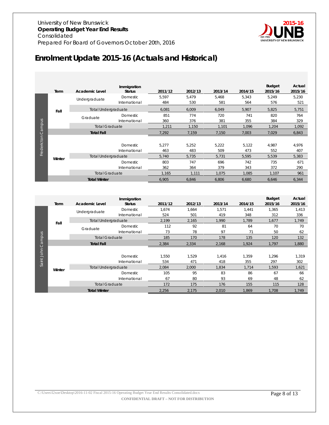

# <span id="page-7-0"></span>**Enrolment Update 2015-16 (Actuals and Historical)**

|             | Term   | <b>Academic Level</b>      | Immigration<br><b>Status</b> | 2011/12      | 2012/13      | 2013/14      | 2014/15      | <b>Budget</b><br>2015/16 | Actual<br>2015/16 |
|-------------|--------|----------------------------|------------------------------|--------------|--------------|--------------|--------------|--------------------------|-------------------|
|             |        | Undergraduate              | Domestic<br>International    | 5,597<br>484 | 5,479<br>530 | 5,468<br>581 | 5,343<br>564 | 5,249<br>576             | 5,230<br>521      |
|             | Fall   | <b>Total Undergraduate</b> |                              | 6,081        | 6,009        | 6,049        | 5,907        | 5,825                    | 5,751             |
|             |        | Graduate                   | Domestic<br>International    | 851<br>360   | 774<br>376   | 720<br>381   | 741<br>355   | 820<br>384               | 764<br>329        |
| Campus      |        | <b>Total Graduate</b>      |                              | 1,211        | 1,150        | 1,101        | 1,096        | 1,204                    | 1,092             |
|             |        | <b>Total Fall</b>          |                              | 7,292        | 7,159        | 7,150        | 7,003        | 7,029                    | 6,843             |
| Fredericton |        |                            |                              |              |              |              |              |                          |                   |
|             |        |                            | Domestic                     | 5,277        | 5,252        | 5,222        | 5,122        | 4.987                    | 4,976             |
|             |        |                            | International                | 463          | 483          | 509          | 473          | 552                      | 407               |
|             | Winter | <b>Total Undergraduate</b> |                              | 5,740        | 5,735        | 5,731        | 5,595        | 5,539                    | 5,383             |
|             |        |                            | Domestic                     | 803          | 747          | 696          | 742          | 735                      | 671               |
|             |        |                            | International                | 362          | 364          | 379          | 343          | 372                      | 290               |
|             |        | <b>Total Graduate</b>      |                              | 1.165        | 1.111        | 1.075        | 1.085        | 1,107                    | 961               |
|             |        | <b>Total Winter</b>        |                              | 6,905        | 6,846        | 6,806        | 6,680        | 6,646                    | 6,344             |

|          |        |                            | Immigration     |         |         |         |         | <b>Budget</b> | Actual  |
|----------|--------|----------------------------|-----------------|---------|---------|---------|---------|---------------|---------|
|          | Term   | <b>Academic Level</b>      | <b>Status</b>   | 2011/12 | 2012/13 | 2013/14 | 2014/15 | 2015/16       | 2015/16 |
|          |        | Undergraduate              | <b>Domestic</b> | 1.674   | 1,664   | 1,571   | 1.441   | 1,365         | 1,413   |
|          | Fall   |                            | International   | 524     | 501     | 419     | 348     | 312           | 336     |
|          |        | <b>Total Undergraduate</b> |                 | 2,199   | 2,165   | 1,990   | 1,789   | 1,677         | 1,749   |
| Campus   |        | Graduate                   | Domestic        | 112     | 92      | 81      | 64      | 70            | 70      |
|          |        |                            | International   | 73      | 78      | 97      | 71      | 50            | 62      |
|          |        | <b>Total Graduate</b>      |                 | 185     | 170     | 178     | 135     | 120           | 132     |
|          |        | <b>Total Fall</b>          |                 | 2,384   | 2,334   | 2,168   | 1,924   | 1,797         | 1,880   |
| <b>S</b> |        |                            |                 |         |         |         |         |               |         |
|          |        |                            | <b>Domestic</b> | 1.550   | 1,529   | 1,416   | 1,359   | 1,296         | 1,319   |
| Saint    |        |                            | International   | 534     | 471     | 418     | 355     | 297           | 302     |
|          | Winter | <b>Total Undergraduate</b> |                 | 2,084   | 2,000   | 1,834   | 1,714   | 1,593         | 1,621   |
|          |        |                            | <b>Domestic</b> | 105     | 95      | 83      | 86      | 67            | 66      |
|          |        |                            | International   | 67      | 80      | 93      | 69      | 48            | 62      |
|          |        | <b>Total Graduate</b>      |                 | 172     | 175     | 176     | 155     | 115           | 128     |
|          |        | <b>Total Winter</b>        |                 | 2,256   | 2,175   | 2,010   | 1,869   | 1,708         | 1,749   |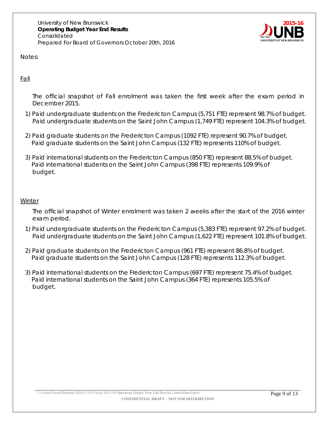University of New Brunswick **Operating Budget Year End Results**  Consolidated Prepared For Board of Governors October 20th, 2016



Notes:

Fall

The official snapshot of Fall enrolment was taken the first week after the exam period in December 2015.

- 1) Paid undergraduate students on the Fredericton Campus (5,751 FTE) represent 98.7% of budget. Paid undergraduate students on the Saint John Campus (1,749 FTE) represent 104.3% of budget.
- 2) Paid graduate students on the Fredericton Campus (1092 FTE) represent 90.7% of budget. Paid graduate students on the Saint John Campus (132 FTE) represents 110% of budget.
- 3) Paid international students on the Fredericton Campus (850 FTE) represent 88.5% of budget. Paid international students on the Saint John Campus (398 FTE) represents 109.9% of budget.

#### **Winter**

The official snapshot of Winter enrolment was taken 2 weeks after the start of the 2016 winter exam period.

- 1) Paid undergraduate students on the Fredericton Campus (5,383 FTE) represent 97.2% of budget. Paid undergraduate students on the Saint John Campus (1,622 FTE) represent 101.8% of budget.
- 2) Paid graduate students on the Fredericton Campus (961 FTE) represent 86.8% of budget. Paid graduate students on the Saint John Campus (128 FTE) represents 112.3% of budget.
- 3) Paid international students on the Fredericton Campus (697 FTE) represent 75.4% of budget. Paid international students on the Saint John Campus (364 FTE) represents 105.5% of budget.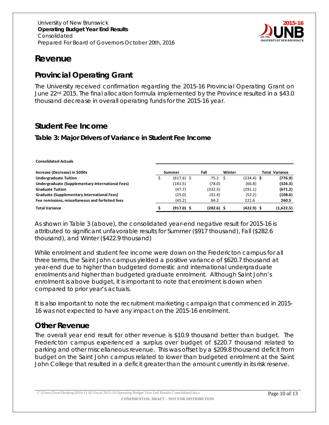

# <span id="page-9-0"></span>**Revenue**

## <span id="page-9-1"></span>**Provincial Operating Grant**

The University received confirmation regarding the 2015-16 Provincial Operating Grant on June 22<sup>nd</sup> 2015. The final allocation formula implemented by the Province resulted in a \$43.0 thousand decrease in overall operating funds for the 2015-16 year.

## <span id="page-9-2"></span>**Student Fee Income**

#### **Table 3: Major Drivers of Variance in Student Fee Income**

| <b>Consolidated Actuals</b>                      |              |              |        |              |                |
|--------------------------------------------------|--------------|--------------|--------|--------------|----------------|
| Increase (Decrease) in \$000s                    | Summer       | Fall         | Winter |              | Total Variance |
| <b>Undergraduate Tuition</b>                     | $(617.6)$ \$ | 75.1         |        | $(234.4)$ \$ | (776.9)        |
| Undergraduate (Supplementary International Fees) | (181.5)      | (78.0)       |        | (66.8)       | (326.3)        |
| <b>Graduate Tuition</b>                          | (47.7)       | (332.5)      |        | (291.1)      | (671.2)        |
| Graduate (Supplementary International Fees)      | (25.0)       | (31.4)       |        | (52.2)       | (108.6)        |
| Fee remissions, miscellaneous and forfeited fees | (45.2)       | 84.2         |        | 221.6        | 260.5          |
| <b>Total Variance</b>                            | $(917.0)$ \$ | $(282.6)$ \$ |        | $(422.9)$ \$ | (1,622.5)      |

As shown in Table 3 (above), the consolidated year-end negative result for 2015-16 is attributed to significant unfavorable results for Summer (\$917 thousand), Fall (\$282.6 thousand), and Winter (\$422.9 thousand)

While enrolment and student fee income were down on the Fredericton campus for all three terms, the Saint John campus yielded a positive variance of \$620.7 thousand at year-end due to higher than budgeted domestic and international undergraduate enrolments and higher than budgeted graduate enrolment. Although Saint John's enrolment is above budget, it is important to note that enrolment is down when compared to prior year's actuals.

It is also important to note the recruitment marketing campaign that commenced in 2015- 16 was not expected to have any impact on the 2015-16 enrolment.

## <span id="page-9-3"></span>**Other Revenue**

The overall year end result for other revenue is \$10.9 thousand better than budget. The Fredericton campus experienced a surplus over budget of \$220.7 thousand related to parking and other miscellaneous revenue. This was offset by a \$209.8 thousand deficit from budget on the Saint John campus related to lower than budgeted enrolment at the Saint John College that resulted in a deficit greater than the amount currently in its risk reserve.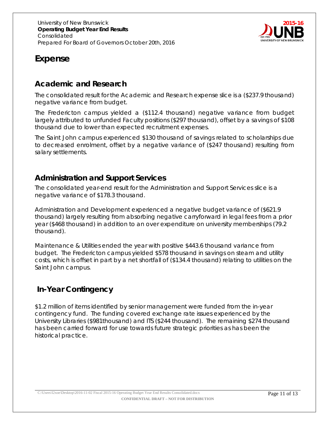

# <span id="page-10-0"></span>**Expense**

## <span id="page-10-1"></span>*Academic and Research*

The consolidated result for the Academic and Research expense slice is a (\$237.9 thousand) negative variance from budget.

The Fredericton campus yielded a (\$112.4 thousand) negative variance from budget largely attributed to unfunded Faculty positions (\$297 thousand), offset by a savings of \$108 thousand due to lower than expected recruitment expenses.

The Saint John campus experienced \$130 thousand of savings related to scholarships due to decreased enrolment, offset by a negative variance of (\$247 thousand) resulting from salary settlements.

## <span id="page-10-2"></span>*Administration and Support Services*

The consolidated year-end result for the Administration and Support Services slice is a negative variance of \$178.3 thousand.

Administration and Development experienced a negative budget variance of (\$621.9 thousand) largely resulting from absorbing negative carryforward in legal fees from a prior year (\$468 thousand) in addition to an over expenditure on university memberships (79.2 thousand).

Maintenance & Utilities ended the year with positive \$443.6 thousand variance from budget. The Fredericton campus yielded \$578 thousand in savings on steam and utility costs, which is offset in part by a net shortfall of (\$134.4 thousand) relating to utilities on the Saint John campus.

## <span id="page-10-3"></span>*In-Year Contingency*

\$1.2 million of items identified by senior management were funded from the in-year contingency fund. The funding covered exchange rate issues experienced by the University Libraries (\$981thousand) and ITS (\$244 thousand). The remaining \$274 thousand has been carried forward for use towards future strategic priorities as has been the historical practice.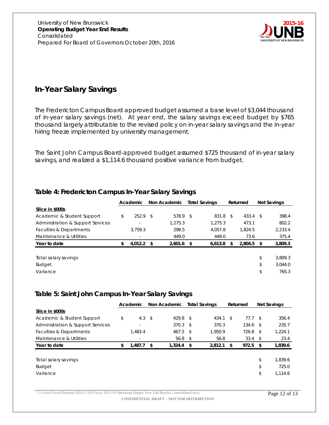

## <span id="page-11-0"></span>*In-Year Salary Savings*

The Fredericton Campus Board approved budget assumed a base level of \$3,044 thousand of in-year salary savings (net). At year end, the salary savings exceed budget by \$765 thousand largely attributable to the revised policy on in-year salary savings and the in-year hiring freeze implemented by university management.

The Saint John Campus Board-approved budget assumed \$725 thousand of in-year salary savings, and realized a \$1,114.6 thousand positive variance from budget.

#### **Table 4: Fredericton Campus In-Year Salary Savings**

|                                   | Non Academic<br><b>Total Savings</b><br>Academic |         |      | Returned     |  |          | Net Savings |            |    |         |
|-----------------------------------|--------------------------------------------------|---------|------|--------------|--|----------|-------------|------------|----|---------|
| Slice in \$000s                   |                                                  |         |      |              |  |          |             |            |    |         |
| Academic & Student Support        | \$                                               | 252.9   | - S  | 578.9 \$     |  | 831.8 \$ |             | $433.4$ \$ |    | 398.4   |
| Administration & Support Services |                                                  | ٠       |      | 1.275.3      |  | 1.275.3  |             | 473.1      |    | 802.2   |
| Faculties & Departments           |                                                  | 3.759.3 |      | 298.5        |  | 4.057.8  |             | 1.824.5    |    | 2,233.4 |
| Maintenance & Utilities           |                                                  | $\sim$  |      | 449.0        |  | 449.0    |             | 73.6       |    | 375.4   |
| Year to date                      | \$.                                              | 4.012.2 | - \$ | $2.601.6$ \$ |  | 6.613.8  | -SS         | 2,804.5    | S  | 3,809.3 |
|                                   |                                                  |         |      |              |  |          |             |            |    |         |
| Total salary savings              |                                                  |         |      |              |  |          |             |            | \$ | 3.809.3 |
| <b>Budget</b>                     |                                                  |         |      |              |  |          |             |            | \$ | 3.044.0 |
| Variance                          |                                                  |         |      |              |  |          |             |            | \$ | 765.3   |

#### **Table 5: Saint John Campus In-Year Salary Savings**

|                                   | Non Academic<br><b>Total Savings</b><br>Academic |                          |              | Returned          |  | <b>Net Savings</b> |    |                |      |         |
|-----------------------------------|--------------------------------------------------|--------------------------|--------------|-------------------|--|--------------------|----|----------------|------|---------|
| Slice in \$000s                   |                                                  |                          |              |                   |  |                    |    |                |      |         |
| Academic & Student Support        | \$                                               | 4.3                      | $\mathsf{s}$ | $429.8$ \$        |  | 434.1              | \$ | 77.7 S         |      | 356.4   |
| Administration & Support Services |                                                  | $\overline{\phantom{0}}$ |              | $370.3$ \$        |  | 370.3              |    | 134.6          | - \$ | 235.7   |
| Faculties & Departments           |                                                  | 1.483.4                  |              | $467.5$ \$        |  | 1.950.9            |    | $726.8$ \$     |      | 1,224.1 |
| Maintenance & Utilities           |                                                  | $\overline{\phantom{a}}$ |              | 56.8 <sup>5</sup> |  | 56.8               |    | $33.4 \quad $$ |      | 23.4    |
| Year to date                      | \$                                               | 1,487.7                  | - \$         | $1.324.4$ \$      |  | 2,812.1            | S  | 972.5          | S    | 1,839.6 |
| Total salary savings              |                                                  |                          |              |                   |  |                    |    |                | \$   | 1,839.6 |
| <b>Budget</b>                     |                                                  |                          |              |                   |  |                    |    |                | \$   | 725.0   |
| Variance                          |                                                  |                          |              |                   |  |                    |    |                |      | 1.114.6 |